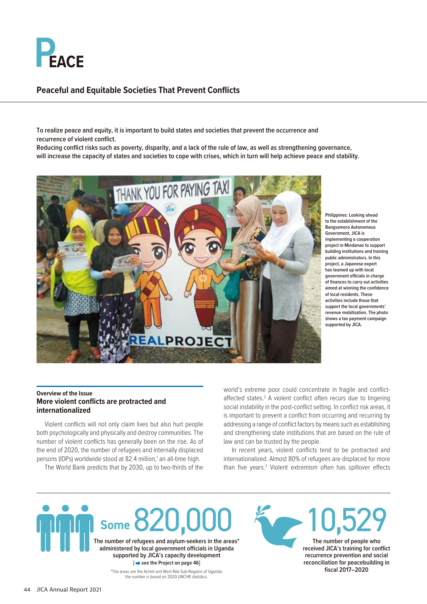

# **Peaceful and Equitable Societies That Prevent Conflicts**

**To realize peace and equity, it is important to build states and societies that prevent the occurrence and recurrence of violent conflict.**

**Reducing conflict risks such as poverty, disparity, and a lack of the rule of law, as well as strengthening governance, will increase the capacity of states and societies to cope with crises, which in turn will help achieve peace and stability.**



**Philippines: Looking ahead to the establishment of the Bangsamoro Autonomous Government, JICA is implementing a cooperation project in Mindanao to support building institutions and training public administrators. In this project, a Japanese expert has teamed up with local government officials in charge of finances to carry out activities aimed at winning the confidence of local residents. These activities include those that support the local governments' revenue mobilization. The photo shows a tax payment campaign supported by JICA.**

## **Overview of the Issue More violent conflicts are protracted and internationalized**

Violent conflicts will not only claim lives but also hurt people both psychologically and physically and destroy communities. The number of violent conflicts has generally been on the rise. As of the end of 2020, the number of refugees and internally displaced persons (IDPs) worldwide stood at 82.4 million,<sup>1</sup> an all-time high.

The World Bank predicts that by 2030, up to two-thirds of the

**Some**  $\delta$  **/** 

world's extreme poor could concentrate in fragile and conflictaffected states.<sup>2</sup> A violent conflict often recurs due to lingering social instability in the post-conflict setting. In conflict risk areas, it is important to prevent a conflict from occurring and recurring by addressing a range of conflict factors by means such as establishing and strengthening state institutions that are based on the rule of law and can be trusted by the people.

In recent years, violent conflicts tend to be protracted and internationalized. Almost 80% of refugees are displaced for more than five years.<sup>3</sup> Violent extremism often has spillover effects

### **supported by JICA's capacity development E** see the Project on page 46] \*The areas are the Acholi and West Nile Sub-Regions of Uganda; the number is based on 2020 UNCHR statistics.

**The number of refugees and asylum-seekers in the areas\* administered by local government officials in Uganda** 

10,529 **The number of people who received JICA's training for conflict recurrence prevention and social reconciliation for peacebuilding in fiscal 2017–2020**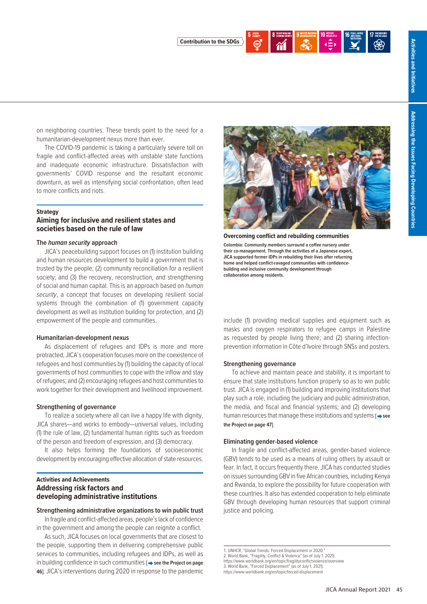

on neighboring countries. These trends point to the need for a humanitarian-development nexus more than ever.

The COVID-19 pandemic is taking a particularly severe toll on fragile and conflict-affected areas with unstable state functions and inadequate economic infrastructure. Dissatisfaction with governments' COVID response and the resultant economic downturn, as well as intensifying social confrontation, often lead to more conflicts and riots.

### **Strategy**

## **Aiming for inclusive and resilient states and societies based on the rule of law**

### **The** *human security* **approach**

JICA's peacebuilding support focuses on (1) institution building and human resources development to build a government that is trusted by the people; (2) community reconciliation for a resilient society; and (3) the recovery, reconstruction, and strengthening of social and human capital. This is an approach based on *human security*, a concept that focuses on developing resilient social systems through the combination of (1) government capacity development as well as institution building for protection, and (2) empowerment of the people and communities.

### **Humanitarian-development nexus**

As displacement of refugees and IDPs is more and more protracted, JICA's cooperation focuses more on the coexistence of refugees and host communities by (1) building the capacity of local governments of host communities to cope with the inflow and stay of refugees; and (2) encouraging refugees and host communities to work together for their development and livelihood improvement.

### **Strengthening of governance**

To realize a society where all can live a happy life with dignity, JICA shares—and works to embody—universal values, including (1) the rule of law, (2) fundamental human rights such as freedom of the person and freedom of expression, and (3) democracy.

It also helps forming the foundations of socioeconomic development by encouraging effective allocation of state resources.

## **Activities and Achievements Addressing risk factors and developing administrative institutions**

### **Strengthening administrative organizations to win public trust**

In fragile and conflict-affected areas, people's lack of confidence in the government and among the people can reignite a conflict.

As such, JICA focuses on local governments that are closest to the people, supporting them in delivering comprehensive public services to communities, including refugees and IDPs, as well as in building confidence in such communities [ $\rightarrow$  see the Project on page **46]**. JICA's interventions during 2020 in response to the pandemic



**Overcoming conflict and rebuilding communities Colombia: Community members surround a coffee nursery under their co-management. Through the activities of a Japanese expert, JICA supported former IDPs in rebuilding their lives after returning home and helped conflict-ravaged communities with confidencebuilding and inclusive community development through collaboration among residents.**

include (1) providing medical supplies and equipment such as masks and oxygen respirators to refugee camps in Palestine as requested by people living there; and (2) sharing infectionprevention information in Côte d'Ivoire through SNSs and posters.

## **Strengthening governance**

To achieve and maintain peace and stability, it is important to ensure that state institutions function properly so as to win public trust. JICA is engaged in (1) building and improving institutions that play such a role, including the judiciary and public administration, the media, and fiscal and financial systems; and (2) developing human resources that manage these institutions and systems [ $\rightarrow$  see **the Project on page 47]**.

### **Eliminating gender-based violence**

In fragile and conflict-affected areas, gender-based violence (GBV) tends to be used as a means of ruling others by assault or fear. In fact, it occurs frequently there. JICA has conducted studies on issues surrounding GBV in five African countries, including Kenya and Rwanda, to explore the possibility for future cooperation with these countries. It also has extended cooperation to help eliminate GBV through developing human resources that support criminal justice and policing.

<sup>1.</sup> UNHCR, "Global Trends: Forced Displacement in 2020.

<sup>2.</sup> World Bank, "Fragility, Conflict & Violence" (as of July 1, 2021).<br>https://www.worldbank.org/en/topic/fragility.conflictviolence/overview

https://www.worldbank.org/en/topic/fragilityconflictviolence/overview 3. World Bank, "Forced Displacement" (as of July 1, 2021).

https://www.worldbank.org/en/topic/forced-displacement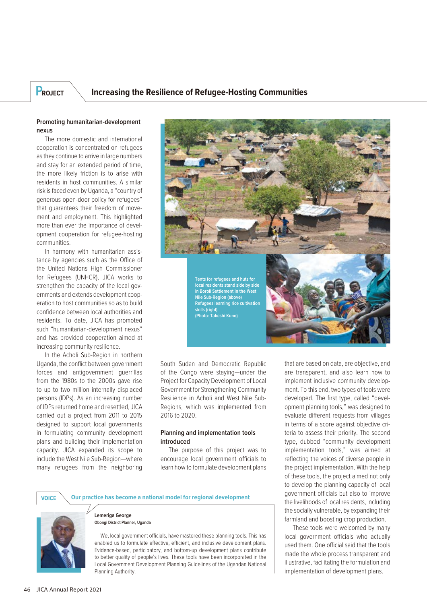# **PROJECT Increasing the Resilience of Refugee-Hosting Communities**

## **Promoting humanitarian-development nexus**

The more domestic and international cooperation is concentrated on refugees as they continue to arrive in large numbers and stay for an extended period of time, the more likely friction is to arise with residents in host communities. A similar risk is faced even by Uganda, a "country of generous open-door policy for refugees" that guarantees their freedom of movement and employment. This highlighted more than ever the importance of development cooperation for refugee-hosting communities.

In harmony with humanitarian assistance by agencies such as the Office of the United Nations High Commissioner for Refugees (UNHCR), JICA works to strengthen the capacity of the local governments and extends development cooperation to host communities so as to build confidence between local authorities and residents. To date, JICA has promoted such "humanitarian-development nexus" and has provided cooperation aimed at increasing community resilience.

In the Acholi Sub-Region in northern Uganda, the conflict between government forces and antigovernment guerrillas from the 1980s to the 2000s gave rise to up to two million internally displaced persons (IDPs). As an increasing number of IDPs returned home and resettled, JICA carried out a project from 2011 to 2015 designed to support local governments in formulating community development plans and building their implementation capacity. JICA expanded its scope to include the West Nile Sub-Region—where many refugees from the neighboring



**Tents for refugees and huts for local residents stand side by side in Boroli Settlement in the West Nile Sub-Region (above) Refugees learning rice cultivation skills (right) (Photo: Takeshi Kuno)**



South Sudan and Democratic Republic of the Congo were staying—under the Project for Capacity Development of Local Government for Strengthening Community Resilience in Acholi and West Nile Sub-Regions, which was implemented from 2016 to 2020.

## **Planning and implementation tools introduced**

The purpose of this project was to encourage local government officials to learn how to formulate development plans

**VOICE Our practice has become a national model for regional development**



### **Lemeriga George Obongi District Planner, Uganda**

We, local government officials, have mastered these planning tools. This has enabled us to formulate effective, efficient, and inclusive development plans. Evidence-based, participatory, and bottom-up development plans contribute to better quality of people's lives. These tools have been incorporated in the Local Government Development Planning Guidelines of the Ugandan National Planning Authority.

that are based on data, are objective, and are transparent, and also learn how to implement inclusive community development. To this end, two types of tools were developed. The first type, called "development planning tools," was designed to evaluate different requests from villages in terms of a score against objective criteria to assess their priority. The second type, dubbed "community development implementation tools," was aimed at reflecting the voices of diverse people in the project implementation. With the help of these tools, the project aimed not only to develop the planning capacity of local government officials but also to improve the livelihoods of local residents, including the socially vulnerable, by expanding their farmland and boosting crop production.

These tools were welcomed by many local government officials who actually used them. One official said that the tools made the whole process transparent and illustrative, facilitating the formulation and implementation of development plans.